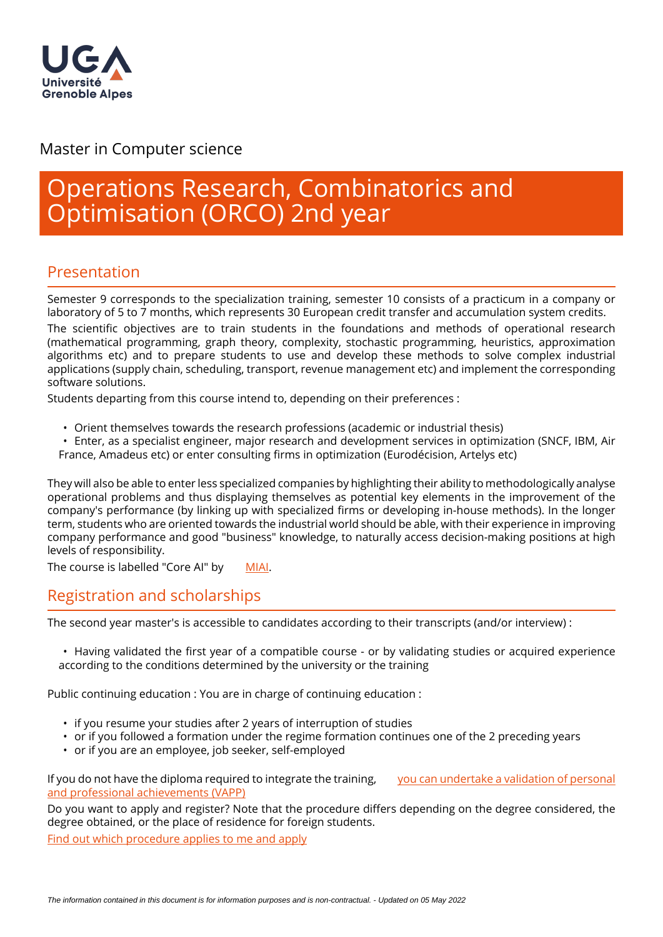

## Master in Computer science

# Operations Research, Combinatorics and Optimisation (ORCO) 2nd year

## Presentation

Semester 9 corresponds to the specialization training, semester 10 consists of a practicum in a company or laboratory of 5 to 7 months, which represents 30 European credit transfer and accumulation system credits.

The scientific objectives are to train students in the foundations and methods of operational research (mathematical programming, graph theory, complexity, stochastic programming, heuristics, approximation algorithms etc) and to prepare students to use and develop these methods to solve complex industrial applications (supply chain, scheduling, transport, revenue management etc) and implement the corresponding software solutions.

Students departing from this course intend to, depending on their preferences :

• Orient themselves towards the research professions (academic or industrial thesis)

• Enter, as a specialist engineer, major research and development services in optimization (SNCF, IBM, Air France, Amadeus etc) or enter consulting firms in optimization (Eurodécision, Artelys etc)

They will also be able to enter less specialized companies by highlighting their ability to methodologically analyse operational problems and thus displaying themselves as potential key elements in the improvement of the company's performance (by linking up with specialized firms or developing in-house methods). In the longer term, students who are oriented towards the industrial world should be able, with their experience in improving company performance and good "business" knowledge, to naturally access decision-making positions at high levels of responsibility.

The course is labelled "Core AI" by [MIAI](http://https://miai.univ-grenoble-alpes.fr/education/ai-certifications-in-grenoble/core-ai/).

# Registration and scholarships

The second year master's is accessible to candidates according to their transcripts (and/or interview) :

• Having validated the first year of a compatible course - or by validating studies or acquired experience according to the conditions determined by the university or the training

Public continuing education : You are in charge of continuing education :

- if you resume your studies after 2 years of interruption of studies
- or if you followed a formation under the regime formation continues one of the 2 preceding years
- or if you are an employee, job seeker, self-employed

If you do not have the diploma required to integrate the training, you can undertake a validation of personal [and professional achievements \(VAPP\)](https://www.univ-grenoble-alpes.fr/construire-son-parcours/valider-ses-acquis/validation-des-acquis-personnels-et-professionnels-vapp-/)

Do you want to apply and register? Note that the procedure differs depending on the degree considered, the degree obtained, or the place of residence for foreign students.

[Find out which procedure applies to me and apply](https://im2ag.univ-grenoble-alpes.fr/menu-principal/formation/candidatures/)